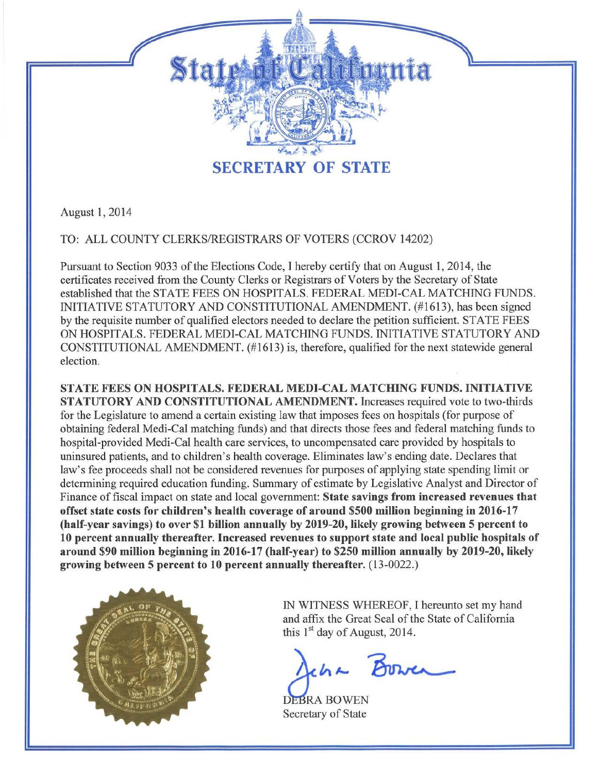

August 1, 2014

TO: ALL COUNTY CLERKS/REGISTRARS OF VOTERS (CCROV 14202)

Pursuant to Section 9033 of the Elections Code, I hereby certify that on August 1, 2014, the certificates received from the County Clerks or Registrars of Voters by the Secretary of State established that the STATE FEES ON HOSPITALS. FEDERAL MEDI-CAL MATCHING FUNDS. INITIATIVE STATUTORY AND CONSTITUTIONAL AMENDMENT. (#1613), has been signed by the requisite number of qualified electors needed to declare the petition sufficient. STATE FEES ON HOSPITALS. FEDERAL MEDI-CAL MATCHING FUNDS. INITIATIVE STATUTORY AND CONSTITUTIONAL AMENDMENT. (#1613) is, therefore, qualified for the next statewide general election.

STATE FEES ON HOSPITALS. FEDERAL MEDI-CAL MATCHING FUNDS. INITIATIVE STATUTORY AND CONSTITUTIONAL AMENDMENT. Increases required vote to two-thirds for the Legislature to amend a certain existing law that imposes fees on hospitals (for purpose of obtaining federal Medi-Cal matching funds) and that directs those fees and federal matching funds to hospital-provided Medi-Cal health care services, to uncompensated care provided by hospitals to uninsured patients, and to children's health coverage. Eliminates law's ending date. Declares that law's fee proceeds shall not be considered revenues for purposes of applying state spending limit or determining required education funding. Summary of estimate by Legislative Analyst and Director of Finance of fiscal impact on state and local government: State savings from increased revenues that offset state costs for children's health coverage of around \$500 million beginning in 2016-17 (half-year savings) to over \$1 billion annually by 2019-20, likely growing between 5 percent to 10 percent annually thereafter. Increased revenues to support state and local public hospitals of around \$90 million beginning in 2016-17 (half-year) to \$250 million annually by 2019-20, likely growing between 5 percent to 10 percent annually thereafter. (13-0022.)



IN WITNESS WHEREOF, I hereunto set my hand and affix the Great Seal of the State of California this  $1<sup>st</sup>$  day of August, 2014. HEREOF, I HEREOF, I HEREOF, I HEREOF, I HEREOF, I HEREOF, I HEREOF, I HEREOF, I HEREOF, I HEREOF, I HEREOF, I HEREOF, I HANG

 $\Delta$ cha

EBRA BOWEN Secretary of State